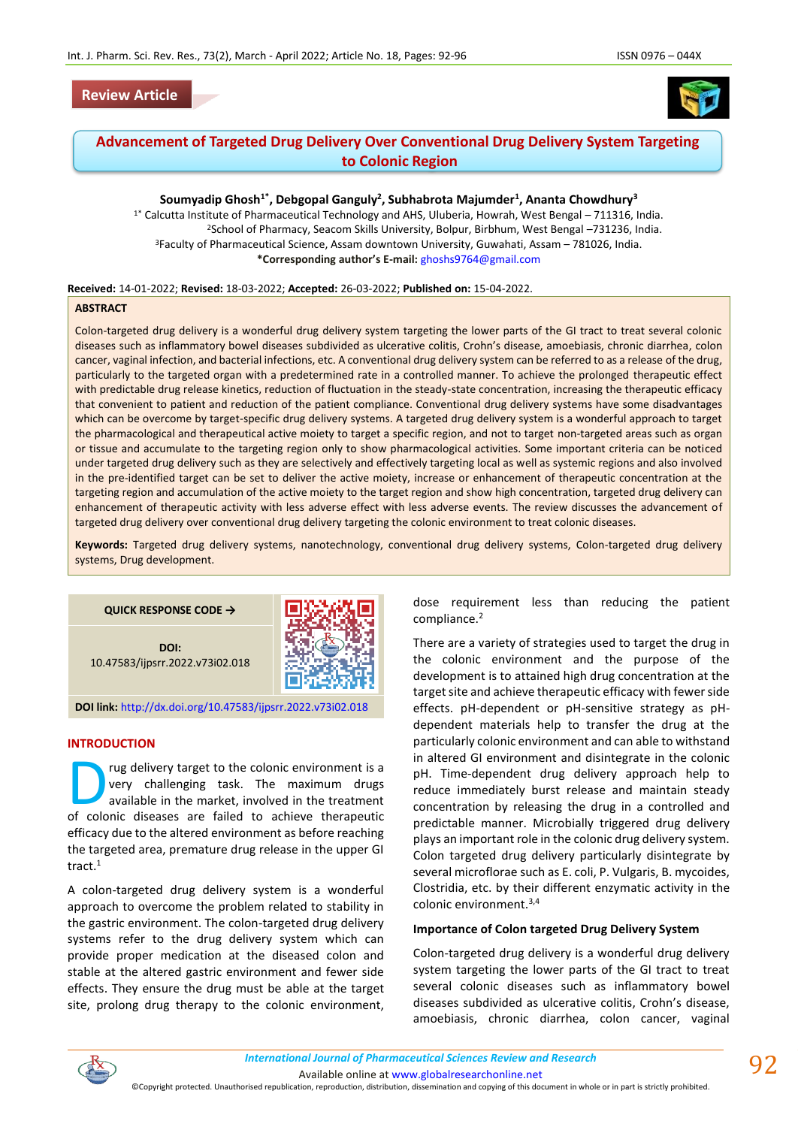# **Review Article**



# **Advancement of Targeted Drug Delivery Over Conventional Drug Delivery System Targeting to Colonic Region**

### **Soumyadip Ghosh1\*, Debgopal Ganguly<sup>2</sup> , Subhabrota Majumder<sup>1</sup> , Ananta Chowdhury<sup>3</sup>**

1\* Calcutta Institute of Pharmaceutical Technology and AHS, Uluberia, Howrah, West Bengal – 711316, India. <sup>2</sup>School of Pharmacy, Seacom Skills University, Bolpur, Birbhum, West Bengal –731236, India. <sup>3</sup>Faculty of Pharmaceutical Science, Assam downtown University, Guwahati, Assam – 781026, India. **\*Corresponding author's E-mail:** [ghoshs9764@gmail.com](mailto:ghoshs9764@gmail.com)

#### **Received:** 14-01-2022; **Revised:** 18-03-2022; **Accepted:** 26-03-2022; **Published on:** 15-04-2022.

#### **ABSTRACT**

Colon-targeted drug delivery is a wonderful drug delivery system targeting the lower parts of the GI tract to treat several colonic diseases such as inflammatory bowel diseases subdivided as ulcerative colitis, Crohn's disease, amoebiasis, chronic diarrhea, colon cancer, vaginal infection, and bacterial infections, etc. A conventional drug delivery system can be referred to as a release of the drug, particularly to the targeted organ with a predetermined rate in a controlled manner. To achieve the prolonged therapeutic effect with predictable drug release kinetics, reduction of fluctuation in the steady-state concentration, increasing the therapeutic efficacy that convenient to patient and reduction of the patient compliance. Conventional drug delivery systems have some disadvantages which can be overcome by target-specific drug delivery systems. A targeted drug delivery system is a wonderful approach to target the pharmacological and therapeutical active moiety to target a specific region, and not to target non-targeted areas such as organ or tissue and accumulate to the targeting region only to show pharmacological activities. Some important criteria can be noticed under targeted drug delivery such as they are selectively and effectively targeting local as well as systemic regions and also involved in the pre-identified target can be set to deliver the active moiety, increase or enhancement of therapeutic concentration at the targeting region and accumulation of the active moiety to the target region and show high concentration, targeted drug delivery can enhancement of therapeutic activity with less adverse effect with less adverse events. The review discusses the advancement of targeted drug delivery over conventional drug delivery targeting the colonic environment to treat colonic diseases.

**Keywords:** Targeted drug delivery systems, nanotechnology, conventional drug delivery systems, Colon-targeted drug delivery systems, Drug development.



#### **DOI link:** <http://dx.doi.org/10.47583/ijpsrr.2022.v73i02.018>

### **INTRODUCTION**

rug delivery target to the colonic environment is a very challenging task. The maximum drugs available in the market, involved in the treatment The maximum challenging task. The maximum drugs available in the market, involved in the treatment of colonic diseases are failed to achieve therapeutic efficacy due to the altered environment as before reaching the targeted area, premature drug release in the upper GI tract.<sup>1</sup>

A colon-targeted drug delivery system is a wonderful approach to overcome the problem related to stability in the gastric environment. The colon-targeted drug delivery systems refer to the drug delivery system which can provide proper medication at the diseased colon and stable at the altered gastric environment and fewer side effects. They ensure the drug must be able at the target site, prolong drug therapy to the colonic environment, dose requirement less than reducing the patient compliance.<sup>2</sup>

There are a variety of strategies used to target the drug in the colonic environment and the purpose of the development is to attained high drug concentration at the target site and achieve therapeutic efficacy with fewer side effects. pH-dependent or pH-sensitive strategy as pHdependent materials help to transfer the drug at the particularly colonic environment and can able to withstand in altered GI environment and disintegrate in the colonic pH. Time-dependent drug delivery approach help to reduce immediately burst release and maintain steady concentration by releasing the drug in a controlled and predictable manner. Microbially triggered drug delivery plays an important role in the colonic drug delivery system. Colon targeted drug delivery particularly disintegrate by several microflorae such as E. coli, P. Vulgaris, B. mycoides, Clostridia, etc. by their different enzymatic activity in the colonic environment.3,4

### **Importance of Colon targeted Drug Delivery System**

Colon-targeted drug delivery is a wonderful drug delivery system targeting the lower parts of the GI tract to treat several colonic diseases such as inflammatory bowel diseases subdivided as ulcerative colitis, Crohn's disease, amoebiasis, chronic diarrhea, colon cancer, vaginal



Available online a[t www.globalresearchonline.net](http://www.globalresearchonline.net/)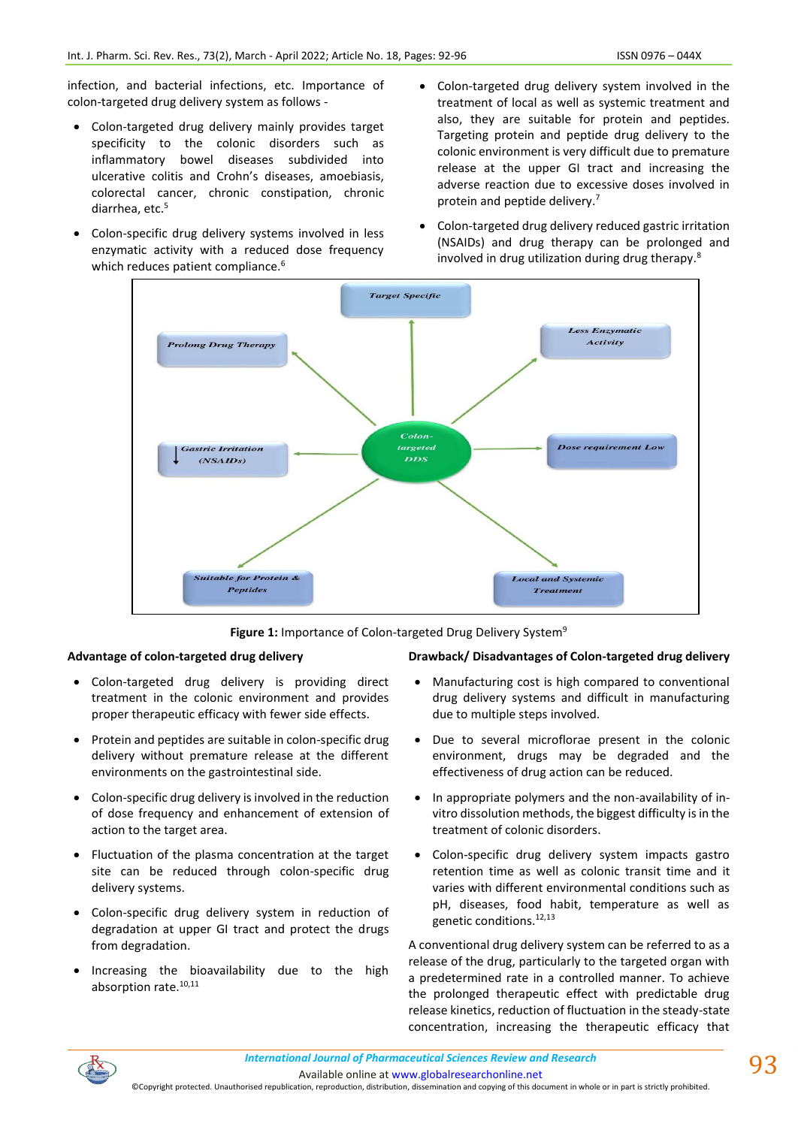infection, and bacterial infections, etc. Importance of colon-targeted drug delivery system as follows -

- Colon-targeted drug delivery mainly provides target specificity to the colonic disorders such as inflammatory bowel diseases subdivided into ulcerative colitis and Crohn's diseases, amoebiasis, colorectal cancer, chronic constipation, chronic diarrhea, etc.<sup>5</sup>
- Colon-specific drug delivery systems involved in less enzymatic activity with a reduced dose frequency which reduces patient compliance.<sup>6</sup>
- Colon-targeted drug delivery system involved in the treatment of local as well as systemic treatment and also, they are suitable for protein and peptides. Targeting protein and peptide drug delivery to the colonic environment is very difficult due to premature release at the upper GI tract and increasing the adverse reaction due to excessive doses involved in protein and peptide delivery.<sup>7</sup>
- Colon-targeted drug delivery reduced gastric irritation (NSAIDs) and drug therapy can be prolonged and involved in drug utilization during drug therapy.<sup>8</sup>



Figure 1: Importance of Colon-targeted Drug Delivery System<sup>9</sup>

#### **Advantage of colon-targeted drug delivery**

- Colon-targeted drug delivery is providing direct treatment in the colonic environment and provides proper therapeutic efficacy with fewer side effects.
- Protein and peptides are suitable in colon-specific drug delivery without premature release at the different environments on the gastrointestinal side.
- Colon-specific drug delivery is involved in the reduction of dose frequency and enhancement of extension of action to the target area.
- Fluctuation of the plasma concentration at the target site can be reduced through colon-specific drug delivery systems.
- Colon-specific drug delivery system in reduction of degradation at upper GI tract and protect the drugs from degradation.
- Increasing the bioavailability due to the high absorption rate.<sup>10,11</sup>

#### **Drawback/ Disadvantages of Colon-targeted drug delivery**

- Manufacturing cost is high compared to conventional drug delivery systems and difficult in manufacturing due to multiple steps involved.
- Due to several microflorae present in the colonic environment, drugs may be degraded and the effectiveness of drug action can be reduced.
- In appropriate polymers and the non-availability of invitro dissolution methods, the biggest difficulty is in the treatment of colonic disorders.
- Colon-specific drug delivery system impacts gastro retention time as well as colonic transit time and it varies with different environmental conditions such as pH, diseases, food habit, temperature as well as genetic conditions.<sup>12,13</sup>

A conventional drug delivery system can be referred to as a release of the drug, particularly to the targeted organ with a predetermined rate in a controlled manner. To achieve the prolonged therapeutic effect with predictable drug release kinetics, reduction of fluctuation in the steady-state concentration, increasing the therapeutic efficacy that



Available online a[t www.globalresearchonline.net](http://www.globalresearchonline.net/)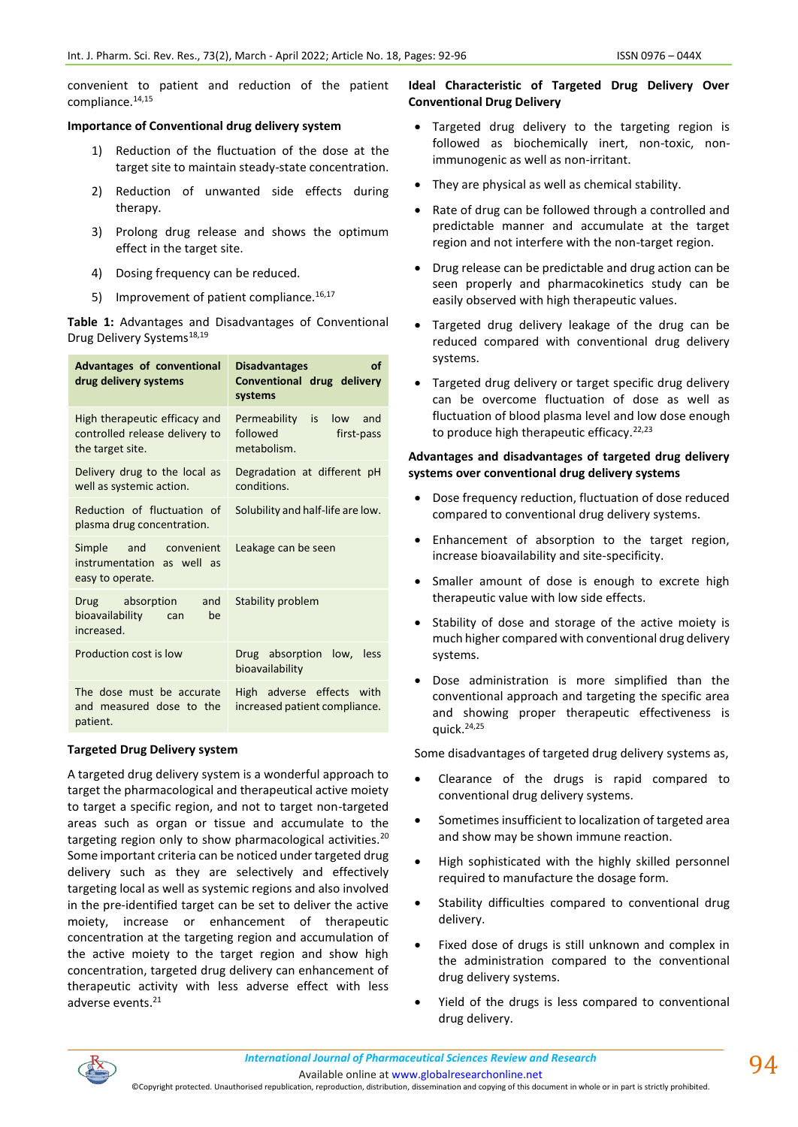convenient to patient and reduction of the patient compliance.14,15

### **Importance of Conventional drug delivery system**

- 1) Reduction of the fluctuation of the dose at the target site to maintain steady-state concentration.
- 2) Reduction of unwanted side effects during therapy.
- 3) Prolong drug release and shows the optimum effect in the target site.
- 4) Dosing frequency can be reduced.
- 5) Improvement of patient compliance.<sup>16,17</sup>

**Table 1:** Advantages and Disadvantages of Conventional Drug Delivery Systems<sup>18,19</sup>

| Advantages of conventional<br>drug delivery systems                                 | <b>Disadvantages</b><br>οf<br>Conventional drug delivery<br>systems       |
|-------------------------------------------------------------------------------------|---------------------------------------------------------------------------|
| High therapeutic efficacy and<br>controlled release delivery to<br>the target site. | Permeability<br>is<br>low<br>and<br>followed<br>first-pass<br>metabolism. |
| Delivery drug to the local as<br>well as systemic action.                           | Degradation at different pH<br>conditions.                                |
| Reduction of fluctuation of<br>plasma drug concentration.                           | Solubility and half-life are low.                                         |
| and convenient<br>Simple<br>instrumentation as well as<br>easy to operate.          | Leakage can be seen                                                       |
| Drug absorption<br>and<br>bioavailability<br>be<br>can<br>increased.                | Stability problem                                                         |
| Production cost is low                                                              | Drug absorption low,<br>less<br>bioavailability                           |
| The dose must be accurate<br>and measured dose to the<br>patient.                   | High adverse effects with<br>increased patient compliance.                |

### **Targeted Drug Delivery system**

A targeted drug delivery system is a wonderful approach to target the pharmacological and therapeutical active moiety to target a specific region, and not to target non-targeted areas such as organ or tissue and accumulate to the targeting region only to show pharmacological activities.<sup>20</sup> Some important criteria can be noticed under targeted drug delivery such as they are selectively and effectively targeting local as well as systemic regions and also involved in the pre-identified target can be set to deliver the active moiety, increase or enhancement of therapeutic concentration at the targeting region and accumulation of the active moiety to the target region and show high concentration, targeted drug delivery can enhancement of therapeutic activity with less adverse effect with less adverse events.<sup>21</sup>

## **Ideal Characteristic of Targeted Drug Delivery Over Conventional Drug Delivery**

- Targeted drug delivery to the targeting region is followed as biochemically inert, non-toxic, nonimmunogenic as well as non-irritant.
- They are physical as well as chemical stability.
- Rate of drug can be followed through a controlled and predictable manner and accumulate at the target region and not interfere with the non-target region.
- Drug release can be predictable and drug action can be seen properly and pharmacokinetics study can be easily observed with high therapeutic values.
- Targeted drug delivery leakage of the drug can be reduced compared with conventional drug delivery systems.
- Targeted drug delivery or target specific drug delivery can be overcome fluctuation of dose as well as fluctuation of blood plasma level and low dose enough to produce high therapeutic efficacy. $22,23$

# **Advantages and disadvantages of targeted drug delivery systems over conventional drug delivery systems**

- Dose frequency reduction, fluctuation of dose reduced compared to conventional drug delivery systems.
- Enhancement of absorption to the target region, increase bioavailability and site-specificity.
- Smaller amount of dose is enough to excrete high therapeutic value with low side effects.
- Stability of dose and storage of the active moiety is much higher compared with conventional drug delivery systems.
- Dose administration is more simplified than the conventional approach and targeting the specific area and showing proper therapeutic effectiveness is quick. $24,25$

Some disadvantages of targeted drug delivery systems as,

- Clearance of the drugs is rapid compared to conventional drug delivery systems.
- Sometimes insufficient to localization of targeted area and show may be shown immune reaction.
- High sophisticated with the highly skilled personnel required to manufacture the dosage form.
- Stability difficulties compared to conventional drug delivery.
- Fixed dose of drugs is still unknown and complex in the administration compared to the conventional drug delivery systems.
- Yield of the drugs is less compared to conventional drug delivery.



Available online a[t www.globalresearchonline.net](http://www.globalresearchonline.net/)

©Copyright protected. Unauthorised republication, reproduction, distribution, dissemination and copying of this document in whole or in part is strictly prohibited.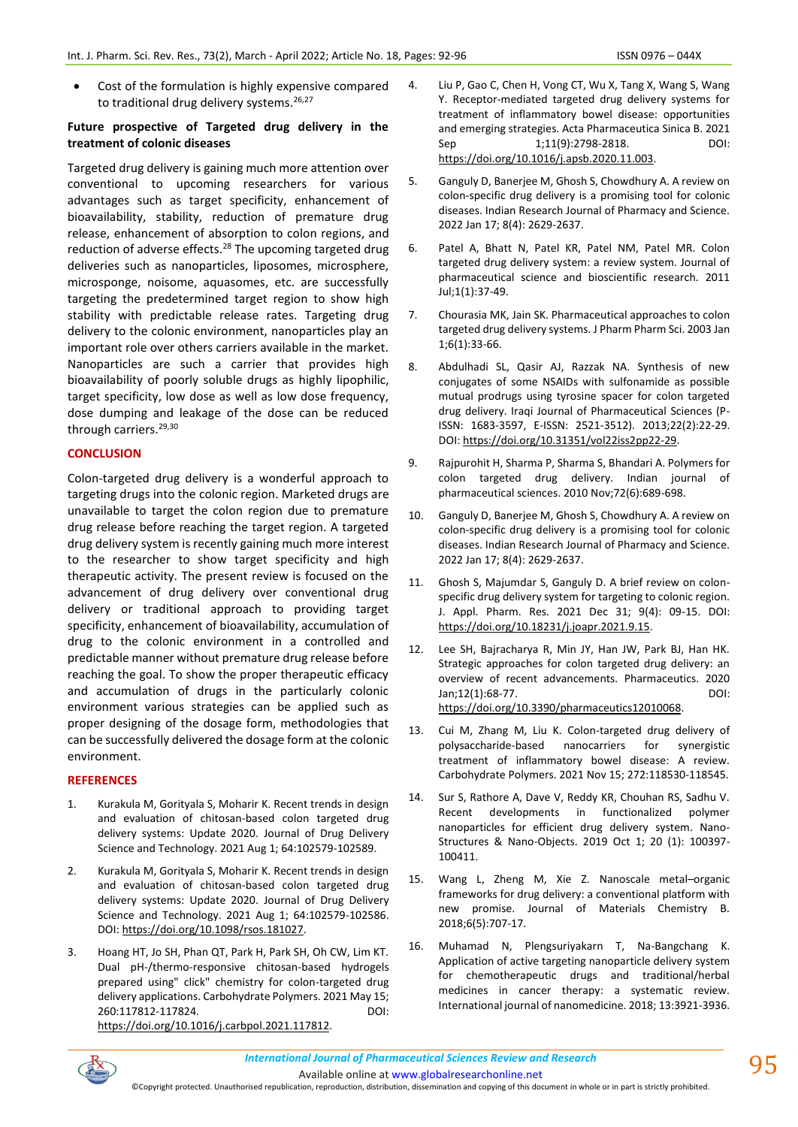Cost of the formulation is highly expensive compared to traditional drug delivery systems.<sup>26,27</sup>

### **Future prospective of Targeted drug delivery in the treatment of colonic diseases**

Targeted drug delivery is gaining much more attention over conventional to upcoming researchers for various advantages such as target specificity, enhancement of bioavailability, stability, reduction of premature drug release, enhancement of absorption to colon regions, and reduction of adverse effects.<sup>28</sup> The upcoming targeted drug deliveries such as nanoparticles, liposomes, microsphere, microsponge, noisome, aquasomes, etc. are successfully targeting the predetermined target region to show high stability with predictable release rates. Targeting drug delivery to the colonic environment, nanoparticles play an important role over others carriers available in the market. Nanoparticles are such a carrier that provides high bioavailability of poorly soluble drugs as highly lipophilic, target specificity, low dose as well as low dose frequency, dose dumping and leakage of the dose can be reduced through carriers.<sup>29,30</sup>

### **CONCLUSION**

Colon-targeted drug delivery is a wonderful approach to targeting drugs into the colonic region. Marketed drugs are unavailable to target the colon region due to premature drug release before reaching the target region. A targeted drug delivery system is recently gaining much more interest to the researcher to show target specificity and high therapeutic activity. The present review is focused on the advancement of drug delivery over conventional drug delivery or traditional approach to providing target specificity, enhancement of bioavailability, accumulation of drug to the colonic environment in a controlled and predictable manner without premature drug release before reaching the goal. To show the proper therapeutic efficacy and accumulation of drugs in the particularly colonic environment various strategies can be applied such as proper designing of the dosage form, methodologies that can be successfully delivered the dosage form at the colonic environment.

### **REFERENCES**

- 1. Kurakula M, Gorityala S, Moharir K. Recent trends in design and evaluation of chitosan-based colon targeted drug delivery systems: Update 2020. Journal of Drug Delivery Science and Technology. 2021 Aug 1; 64:102579-102589.
- 2. Kurakula M, Gorityala S, Moharir K. Recent trends in design and evaluation of chitosan-based colon targeted drug delivery systems: Update 2020. Journal of Drug Delivery Science and Technology. 2021 Aug 1; 64:102579-102586. DOI[: https://doi.org/10.1098/rsos.181027.](https://doi.org/10.1098/rsos.181027)
- 3. Hoang HT, Jo SH, Phan QT, Park H, Park SH, Oh CW, Lim KT. Dual pH-/thermo-responsive chitosan-based hydrogels prepared using" click" chemistry for colon-targeted drug delivery applications. Carbohydrate Polymers. 2021 May 15; 260:117812-117824. DOI: [https://doi.org/10.1016/j.carbpol.2021.117812.](https://doi.org/10.1016/j.carbpol.2021.117812)
- 4. Liu P, Gao C, Chen H, Vong CT, Wu X, Tang X, Wang S, Wang Y. Receptor-mediated targeted drug delivery systems for treatment of inflammatory bowel disease: opportunities and emerging strategies. Acta Pharmaceutica Sinica B. 2021 Sep 1;11(9):2798-2818. DOI: [https://doi.org/10.1016/j.apsb.2020.11.003.](https://doi.org/10.1016/j.apsb.2020.11.003)
- 5. Ganguly D, Banerjee M, Ghosh S, Chowdhury A. A review on colon-specific drug delivery is a promising tool for colonic diseases. Indian Research Journal of Pharmacy and Science. 2022 Jan 17; 8(4): 2629-2637.
- 6. Patel A, Bhatt N, Patel KR, Patel NM, Patel MR. Colon targeted drug delivery system: a review system. Journal of pharmaceutical science and bioscientific research. 2011 Jul;1(1):37-49.
- 7. Chourasia MK, Jain SK. Pharmaceutical approaches to colon targeted drug delivery systems. J Pharm Pharm Sci. 2003 Jan 1;6(1):33-66.
- 8. Abdulhadi SL, Qasir AJ, Razzak NA. Synthesis of new conjugates of some NSAIDs with sulfonamide as possible mutual prodrugs using tyrosine spacer for colon targeted drug delivery. Iraqi Journal of Pharmaceutical Sciences (P-ISSN: 1683-3597, E-ISSN: 2521-3512). 2013;22(2):22-29. DOI[: https://doi.org/10.31351/vol22iss2pp22-29.](https://doi.org/10.31351/vol22iss2pp22-29)
- 9. Rajpurohit H, Sharma P, Sharma S, Bhandari A. Polymers for colon targeted drug delivery. Indian journal of pharmaceutical sciences. 2010 Nov;72(6):689-698.
- 10. Ganguly D, Banerjee M, Ghosh S, Chowdhury A. A review on colon-specific drug delivery is a promising tool for colonic diseases. Indian Research Journal of Pharmacy and Science. 2022 Jan 17; 8(4): 2629-2637.
- 11. Ghosh S, Majumdar S, Ganguly D. A brief review on colonspecific drug delivery system for targeting to colonic region. J. Appl. Pharm. Res. 2021 Dec 31; 9(4): 09-15. DOI: [https://doi.org/10.18231/j.joapr.2021.9.15.](https://doi.org/10.18231/j.joapr.2021.9.15)
- 12. Lee SH, Bajracharya R, Min JY, Han JW, Park BJ, Han HK. Strategic approaches for colon targeted drug delivery: an overview of recent advancements. Pharmaceutics. 2020 Jan;12(1):68-77. DOI: [https://doi.org/10.3390/pharmaceutics12010068.](https://doi.org/10.3390/pharmaceutics12010068)
- 13. Cui M, Zhang M, Liu K. Colon-targeted drug delivery of polysaccharide-based nanocarriers for synergistic treatment of inflammatory bowel disease: A review. Carbohydrate Polymers. 2021 Nov 15; 272:118530-118545.
- 14. Sur S, Rathore A, Dave V, Reddy KR, Chouhan RS, Sadhu V. Recent developments in functionalized polymer nanoparticles for efficient drug delivery system. Nano-Structures & Nano-Objects. 2019 Oct 1; 20 (1): 100397- 100411.
- 15. Wang L, Zheng M, Xie Z. Nanoscale metal–organic frameworks for drug delivery: a conventional platform with new promise. Journal of Materials Chemistry B. 2018;6(5):707-17.
- 16. Muhamad N, Plengsuriyakarn T, Na-Bangchang K. Application of active targeting nanoparticle delivery system for chemotherapeutic drugs and traditional/herbal medicines in cancer therapy: a systematic review. International journal of nanomedicine. 2018; 13:3921-3936.



Available online a[t www.globalresearchonline.net](http://www.globalresearchonline.net/)